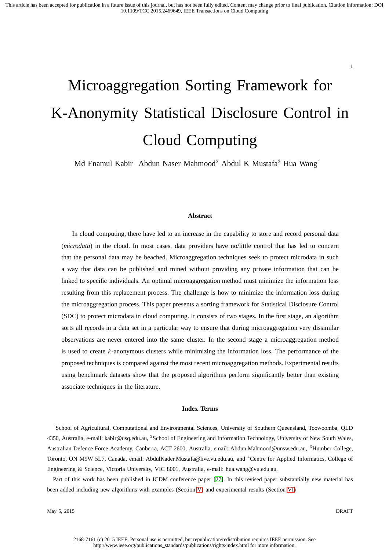# Microaggregation Sorting Framework for K-Anonymity Statistical Disclosure Control in Cloud Computing

Md Enamul Kabir<sup>1</sup> Abdun Naser Mahmood<sup>2</sup> Abdul K Mustafa<sup>3</sup> Hua Wang<sup>4</sup>

#### **Abstract**

In cloud computing, there have led to an increase in the capability to store and record personal data (*microdata*) in the cloud. In most cases, data providers have no/little control that has led to concern that the personal data may be beached. Microaggregation techniques seek to protect microdata in such a way that data can be published and mined without providing any private information that can be linked to specific individuals. An optimal microaggregation method must minimize the information loss resulting from this replacement process. The challenge is how to minimize the information loss during the microaggregation process. This paper presents a sorting framework for Statistical Disclosure Control (SDC) to protect microdata in cloud computing. It consists of two stages. In the first stage, an algorithm sorts all records in a data set in a particular way to ensure that during microaggregation very dissimilar observations are never entered into the same cluster. In the second stage a microaggregation method is used to create k-anonymous clusters while minimizing the information loss. The performance of the proposed techniques is compared against the most recent microaggregation methods. Experimental results using benchmark datasets show that the proposed algorithms perform significantly better than existing associate techniques in the literature.

#### **Index Terms**

<sup>1</sup>School of Agricultural, Computational and Environmental Sciences, University of Southern Queensland, Toowoomba, QLD 4350, Australia, e-mail: kabir@usq.edu.au, <sup>2</sup>School of Engineering and Information Technology, University of New South Wales, Australian Defence Force Academy, Canberra, ACT 2600, Australia, email: Abdun.Mahmood@unsw.edu.au, <sup>3</sup>Humber College, Toronto, ON M9W 5L7, Canada, email: AbdulKader.Mustafa@live.vu.edu.au, and <sup>4</sup>Centre for Applied Informatics, College of Engineering & Science, Victoria University, VIC 8001, Australia, e-mail: hua.wang@vu.edu.au.

Part of this work has been published in ICDM conference paper [27]. In this revised paper substantially new material has been added including new algorithms with examples (Section V) and experimental results (Section VI)

May 5, 2015 DRAFT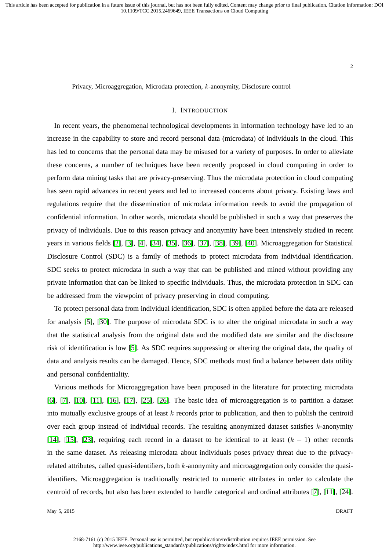Privacy, Microaggregation, Microdata protection, k-anonymity, Disclosure control

## I. INTRODUCTION

In recent years, the phenomenal technological developments in information technology have led to an increase in the capability to store and record personal data (microdata) of individuals in the cloud. This has led to concerns that the personal data may be misused for a variety of purposes. In order to alleviate these concerns, a number of techniques have been recently proposed in cloud computing in order to perform data mining tasks that are privacy-preserving. Thus the microdata protection in cloud computing has seen rapid advances in recent years and led to increased concerns about privacy. Existing laws and regulations require that the dissemination of microdata information needs to avoid the propagation of confidential information. In other words, microdata should be published in such a way that preserves the privacy of individuals. Due to this reason privacy and anonymity have been intensively studied in recent years in various fields [2], [3], [4], [34], [35], [36], [37], [38], [39], [40]. Microaggregation for Statistical Disclosure Control (SDC) is a family of methods to protect microdata from individual identification. SDC seeks to protect microdata in such a way that can be published and mined without providing any private information that can be linked to specific individuals. Thus, the microdata protection in SDC can be addressed from the viewpoint of privacy preserving in cloud computing.

To protect personal data from individual identification, SDC is often applied before the data are released for analysis [5], [30]. The purpose of microdata SDC is to alter the original microdata in such a way that the statistical analysis from the original data and the modified data are similar and the disclosure risk of identification is low [5]. As SDC requires suppressing or altering the original data, the quality of data and analysis results can be damaged. Hence, SDC methods must find a balance between data utility and personal confidentiality.

Various methods for Microaggregation have been proposed in the literature for protecting microdata [6], [7], [10], [11], [16], [17], [25], [26]. The basic idea of microaggregation is to partition a dataset into mutually exclusive groups of at least  $k$  records prior to publication, and then to publish the centroid over each group instead of individual records. The resulting anonymized dataset satisfies k-anonymity [14], [15], [23], requiring each record in a dataset to be identical to at least  $(k - 1)$  other records in the same dataset. As releasing microdata about individuals poses privacy threat due to the privacyrelated attributes, called quasi-identifiers, both k-anonymity and microaggregation only consider the quasiidentifiers. Microaggregation is traditionally restricted to numeric attributes in order to calculate the centroid of records, but also has been extended to handle categorical and ordinal attributes [7], [11], [24].

May 5, 2015 DRAFT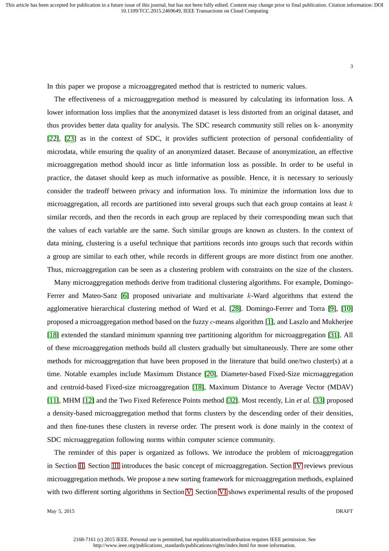In this paper we propose a microaggregated method that is restricted to numeric values.

The effectiveness of a microaggregation method is measured by calculating its information loss. A lower information loss implies that the anonymized dataset is less distorted from an original dataset, and thus provides better data quality for analysis. The SDC research community still relies on k- anonymity [22], [23] as in the context of SDC, it provides sufficient protection of personal confidentiality of microdata, while ensuring the quality of an anonymized dataset. Because of anonymization, an effective microaggregation method should incur as little information loss as possible. In order to be useful in practice, the dataset should keep as much informative as possible. Hence, it is necessary to seriously consider the tradeoff between privacy and information loss. To minimize the information loss due to microaggregation, all records are partitioned into several groups such that each group contains at least  $k$ similar records, and then the records in each group are replaced by their corresponding mean such that the values of each variable are the same. Such similar groups are known as clusters. In the context of data mining, clustering is a useful technique that partitions records into groups such that records within a group are similar to each other, while records in different groups are more distinct from one another. Thus, microaggregation can be seen as a clustering problem with constraints on the size of the clusters.

Many microaggregation methods derive from traditional clustering algorithms. For example, Domingo-Ferrer and Mateo-Sanz [6] proposed univariate and multivariate k-Ward algorithms that extend the agglomerative hierarchical clustering method of Ward et al. [28]. Domingo-Ferrer and Torra [9], [10] proposed a microaggregation method based on the fuzzy c-means algorithm [1], and Laszlo and Mukherjee [18] extended the standard minimum spanning tree partitioning algorithm for microaggregation [31]. All of these microaggregation methods build all clusters gradually but simultaneously. There are some other methods for microaggregation that have been proposed in the literature that build one/two cluster(s) at a time. Notable examples include Maximum Distance [20], Diameter-based Fixed-Size microaggregation and centroid-based Fixed-size microaggregation [18], Maximum Distance to Average Vector (MDAV) [11], MHM [12] and the Two Fixed Reference Points method [32]. Most recently, Lin *et al.* [33] proposed a density-based microaggregation method that forms clusters by the descending order of their densities, and then fine-tunes these clusters in reverse order. The present work is done mainly in the context of SDC microaggregation following norms within computer science community.

The reminder of this paper is organized as follows. We introduce the problem of microaggregation in Section II. Section III introduces the basic concept of microaggregation. Section IV reviews previous microaggregation methods. We propose a new sorting framework for microaggregation methods, explained with two different sorting algorithms in Section V. Section VI shows experimental results of the proposed

May 5, 2015 DRAFT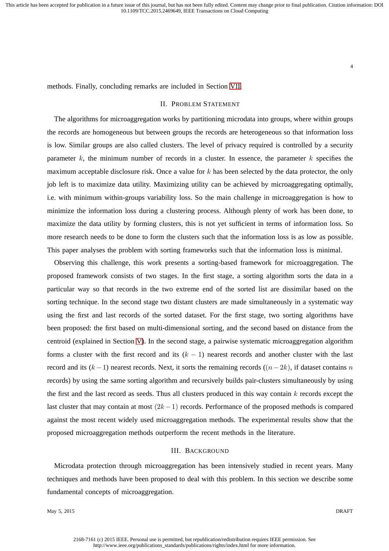4

methods. Finally, concluding remarks are included in Section VII.

### II. PROBLEM STATEMENT

The algorithms for microaggregation works by partitioning microdata into groups, where within groups the records are homogeneous but between groups the records are heterogeneous so that information loss is low. Similar groups are also called clusters. The level of privacy required is controlled by a security parameter  $k$ , the minimum number of records in a cluster. In essence, the parameter  $k$  specifies the maximum acceptable disclosure risk. Once a value for  $k$  has been selected by the data protector, the only job left is to maximize data utility. Maximizing utility can be achieved by microaggregating optimally, i.e. with minimum within-groups variability loss. So the main challenge in microaggregation is how to minimize the information loss during a clustering process. Although plenty of work has been done, to maximize the data utility by forming clusters, this is not yet sufficient in terms of information loss. So more research needs to be done to form the clusters such that the information loss is as low as possible. This paper analyses the problem with sorting frameworks such that the information loss is minimal.

Observing this challenge, this work presents a sorting-based framework for microaggregation. The proposed framework consists of two stages. In the first stage, a sorting algorithm sorts the data in a particular way so that records in the two extreme end of the sorted list are dissimilar based on the sorting technique. In the second stage two distant clusters are made simultaneously in a systematic way using the first and last records of the sorted dataset. For the first stage, two sorting algorithms have been proposed: the first based on multi-dimensional sorting, and the second based on distance from the centroid (explained in Section V). In the second stage, a pairwise systematic microaggregation algorithm forms a cluster with the first record and its  $(k - 1)$  nearest records and another cluster with the last record and its  $(k-1)$  nearest records. Next, it sorts the remaining records  $((n-2k)$ , if dataset contains n records) by using the same sorting algorithm and recursively builds pair-clusters simultaneously by using the first and the last record as seeds. Thus all clusters produced in this way contain  $k$  records except the last cluster that may contain at most  $(2k-1)$  records. Performance of the proposed methods is compared against the most recent widely used microaggregation methods. The experimental results show that the proposed microaggregation methods outperform the recent methods in the literature.

#### III. BACKGROUND

Microdata protection through microaggregation has been intensively studied in recent years. Many techniques and methods have been proposed to deal with this problem. In this section we describe some fundamental concepts of microaggregation.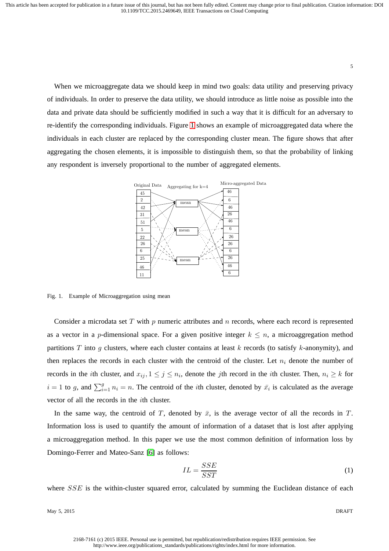When we microaggregate data we should keep in mind two goals: data utility and preserving privacy of individuals. In order to preserve the data utility, we should introduce as little noise as possible into the data and private data should be sufficiently modified in such a way that it is difficult for an adversary to re-identify the corresponding individuals. Figure 1 shows an example of microaggregated data where the individuals in each cluster are replaced by the corresponding cluster mean. The figure shows that after aggregating the chosen elements, it is impossible to distinguish them, so that the probability of linking any respondent is inversely proportional to the number of aggregated elements.



Fig. 1. Example of Microaggregation using mean

Consider a microdata set  $T$  with  $p$  numeric attributes and  $n$  records, where each record is represented as a vector in a p-dimensional space. For a given positive integer  $k \leq n$ , a microaggregation method partitions T into g clusters, where each cluster contains at least  $k$  records (to satisfy  $k$ -anonymity), and then replaces the records in each cluster with the centroid of the cluster. Let  $n_i$  denote the number of records in the *i*th cluster, and  $x_{ij}$ ,  $1 \leq j \leq n_i$ , denote the *j*th record in the *i*th cluster. Then,  $n_i \geq k$  for  $i = 1$  to g, and  $\sum_{i=1}^{g} n_i = n$ . The centroid of the *i*th cluster, denoted by  $\bar{x}_i$  is calculated as the average vector of all the records in the ith cluster.

In the same way, the centroid of T, denoted by  $\bar{x}$ , is the average vector of all the records in T. Information loss is used to quantify the amount of information of a dataset that is lost after applying a microaggregation method. In this paper we use the most common definition of information loss by Domingo-Ferrer and Mateo-Sanz [6] as follows:

$$
IL = \frac{SSE}{SST} \tag{1}
$$

where SSE is the within-cluster squared error, calculated by summing the Euclidean distance of each

May 5, 2015 DRAFT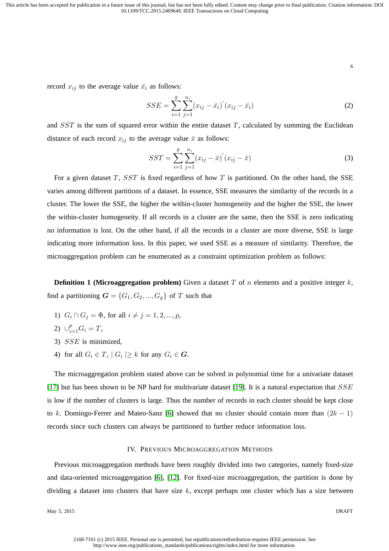6

record  $x_{ij}$  to the average value  $\bar{x}_i$  as follows:

$$
SSE = \sum_{i=1}^{g} \sum_{j=1}^{n_i} (x_{ij} - \bar{x}_i)'(x_{ij} - \bar{x}_i)
$$
 (2)

and  $SST$  is the sum of squared error within the entire dataset  $T$ , calculated by summing the Euclidean distance of each record  $x_{ij}$  to the average value  $\bar{x}$  as follows:

$$
SST = \sum_{i=1}^{g} \sum_{j=1}^{n_i} (x_{ij} - \bar{x})^{'} (x_{ij} - \bar{x})
$$
\n(3)

For a given dataset  $T$ ,  $SST$  is fixed regardless of how  $T$  is partitioned. On the other hand, the SSE varies among different partitions of a dataset. In essence, SSE measures the similarity of the records in a cluster. The lower the SSE, the higher the within-cluster homogeneity and the higher the SSE, the lower the within-cluster homogeneity. If all records in a cluster are the same, then the SSE is zero indicating no information is lost. On the other hand, if all the records in a cluster are more diverse, SSE is large indicating more information loss. In this paper, we used SSE as a measure of similarity. Therefore, the microaggregation problem can be enumerated as a constraint optimization problem as follows:

**Definition 1 (Microaggregation problem)** Given a dataset T of n elements and a positive integer  $k$ , find a partitioning  $G = \{G_1, G_2, ..., G_g\}$  of T such that

- 1)  $G_i \cap G_j = \Phi$ , for all  $i \neq j = 1, 2, ..., p$ ,
- 2)  $\cup_{i=1}^{p} G_i = T$ ,
- 3) SSE is minimized,
- 4) for all  $G_i \in T$ ,  $|G_i| \geq k$  for any  $G_i \in \mathbf{G}$ .

The microaggregation problem stated above can be solved in polynomial time for a univariate dataset [17] but has been shown to be NP hard for multivariate dataset [19]. It is a natural expectation that  $SSE$ is low if the number of clusters is large. Thus the number of records in each cluster should be kept close to k. Domingo-Ferrer and Mateo-Sanz [6] showed that no cluster should contain more than  $(2k - 1)$ records since such clusters can always be partitioned to further reduce information loss.

#### IV. PREVIOUS MICROAGGREGATION METHODS

Previous microaggregation methods have been roughly divided into two categories, namely fixed-size and data-oriented microaggregation [6], [12]. For fixed-size microaggregation, the partition is done by dividing a dataset into clusters that have size  $k$ , except perhaps one cluster which has a size between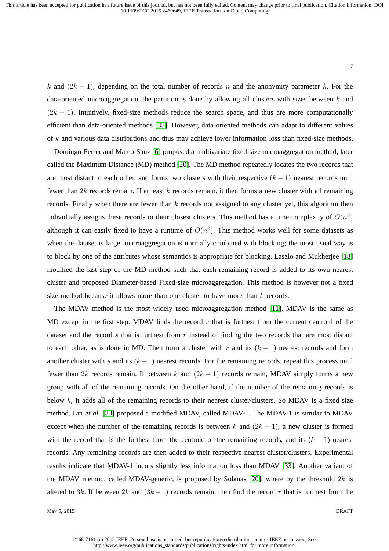k and  $(2k - 1)$ , depending on the total number of records n and the anonymity parameter k. For the data-oriented microaggregation, the partition is done by allowing all clusters with sizes between  $k$  and  $(2k - 1)$ . Intuitively, fixed-size methods reduce the search space, and thus are more computationally efficient than data-oriented methods [33]. However, data-oriented methods can adapt to different values of k and various data distributions and thus may achieve lower information loss than fixed-size methods.

Domingo-Ferrer and Mateo-Sanz [6] proposed a multivariate fixed-size microaggregation method, later called the Maximum Distance (MD) method [20]. The MD method repeatedly locates the two records that are most distant to each other, and forms two clusters with their respective  $(k - 1)$  nearest records until fewer than  $2k$  records remain. If at least k records remain, it then forms a new cluster with all remaining records. Finally when there are fewer than  $k$  records not assigned to any cluster yet, this algorithm then individually assigns these records to their closest clusters. This method has a time complexity of  $O(n^3)$ although it can easily fixed to have a runtime of  $O(n^2)$ . This method works well for some datasets as when the dataset is large, microaggregation is normally combined with blocking; the most usual way is to block by one of the attributes whose semantics is appropriate for blocking. Laszlo and Mukherjee [18] modified the last step of the MD method such that each remaining record is added to its own nearest cluster and proposed Diameter-based Fixed-size microaggregation. This method is however not a fixed size method because it allows more than one cluster to have more than  $k$  records.

The MDAV method is the most widely used microaggregation method [11]. MDAV is the same as MD except in the first step. MDAV finds the record  $r$  that is furthest from the current centroid of the dataset and the record s that is furthest from  $r$  instead of finding the two records that are most distant to each other, as is done in MD. Then form a cluster with r and its  $(k - 1)$  nearest records and form another cluster with s and its  $(k - 1)$  nearest records. For the remaining records, repeat this process until fewer than 2k records remain. If between k and  $(2k - 1)$  records remain, MDAV simply forms a new group with all of the remaining records. On the other hand, if the number of the remaining records is below  $k$ , it adds all of the remaining records to their nearest cluster/clusters. So MDAV is a fixed size method. Lin *et al.* [33] proposed a modified MDAV, called MDAV-1. The MDAV-1 is similar to MDAV except when the number of the remaining records is between k and  $(2k - 1)$ , a new cluster is formed with the record that is the furthest from the centroid of the remaining records, and its  $(k - 1)$  nearest records. Any remaining records are then added to their respective nearest cluster/clusters. Experimental results indicate that MDAV-1 incurs slightly less information loss than MDAV [33]. Another variant of the MDAV method, called MDAV-generic, is proposed by Solanas [20], where by the threshold  $2k$  is altered to 3k. If between  $2k$  and  $(3k-1)$  records remain, then find the record r that is furthest from the

May 5, 2015 DRAFT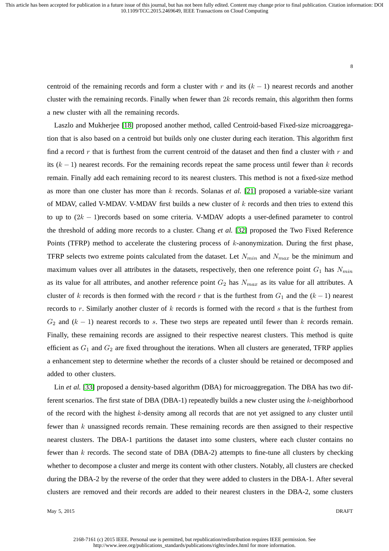centroid of the remaining records and form a cluster with r and its  $(k - 1)$  nearest records and another cluster with the remaining records. Finally when fewer than  $2k$  records remain, this algorithm then forms a new cluster with all the remaining records.

Laszlo and Mukherjee [18] proposed another method, called Centroid-based Fixed-size microaggregation that is also based on a centroid but builds only one cluster during each iteration. This algorithm first find a record r that is furthest from the current centroid of the dataset and then find a cluster with  $r$  and its  $(k - 1)$  nearest records. For the remaining records repeat the same process until fewer than k records remain. Finally add each remaining record to its nearest clusters. This method is not a fixed-size method as more than one cluster has more than k records. Solanas *et al.* [21] proposed a variable-size variant of MDAV, called V-MDAV. V-MDAV first builds a new cluster of k records and then tries to extend this to up to  $(2k - 1)$ records based on some criteria. V-MDAV adopts a user-defined parameter to control the threshold of adding more records to a cluster. Chang *et al.* [32] proposed the Two Fixed Reference Points (TFRP) method to accelerate the clustering process of  $k$ -anonymization. During the first phase, TFRP selects two extreme points calculated from the dataset. Let  $N_{min}$  and  $N_{max}$  be the minimum and maximum values over all attributes in the datasets, respectively, then one reference point  $G_1$  has  $N_{min}$ as its value for all attributes, and another reference point  $G_2$  has  $N_{max}$  as its value for all attributes. A cluster of k records is then formed with the record r that is the furthest from  $G_1$  and the  $(k-1)$  nearest records to r. Similarly another cluster of  $k$  records is formed with the record  $s$  that is the furthest from  $G_2$  and  $(k - 1)$  nearest records to s. These two steps are repeated until fewer than k records remain. Finally, these remaining records are assigned to their respective nearest clusters. This method is quite efficient as  $G_1$  and  $G_2$  are fixed throughout the iterations. When all clusters are generated, TFRP applies a enhancement step to determine whether the records of a cluster should be retained or decomposed and added to other clusters.

Lin *et al.* [33] proposed a density-based algorithm (DBA) for microaggregation. The DBA has two different scenarios. The first state of DBA (DBA-1) repeatedly builds a new cluster using the  $k$ -neighborhood of the record with the highest  $k$ -density among all records that are not yet assigned to any cluster until fewer than k unassigned records remain. These remaining records are then assigned to their respective nearest clusters. The DBA-1 partitions the dataset into some clusters, where each cluster contains no fewer than  $k$  records. The second state of DBA (DBA-2) attempts to fine-tune all clusters by checking whether to decompose a cluster and merge its content with other clusters. Notably, all clusters are checked during the DBA-2 by the reverse of the order that they were added to clusters in the DBA-1. After several clusters are removed and their records are added to their nearest clusters in the DBA-2, some clusters

May 5, 2015 DRAFT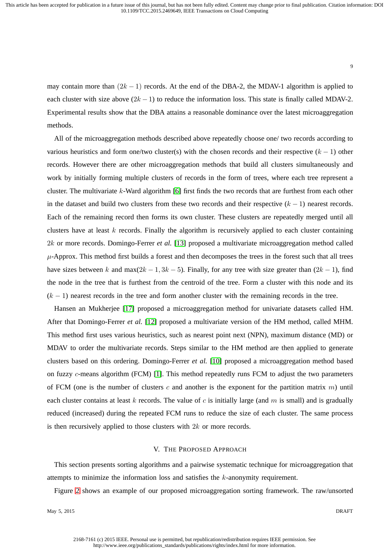9

may contain more than  $(2k - 1)$  records. At the end of the DBA-2, the MDAV-1 algorithm is applied to each cluster with size above  $(2k - 1)$  to reduce the information loss. This state is finally called MDAV-2. Experimental results show that the DBA attains a reasonable dominance over the latest microaggregation methods.

All of the microaggregation methods described above repeatedly choose one/ two records according to various heuristics and form one/two cluster(s) with the chosen records and their respective  $(k - 1)$  other records. However there are other microaggregation methods that build all clusters simultaneously and work by initially forming multiple clusters of records in the form of trees, where each tree represent a cluster. The multivariate k-Ward algorithm [6] first finds the two records that are furthest from each other in the dataset and build two clusters from these two records and their respective  $(k - 1)$  nearest records. Each of the remaining record then forms its own cluster. These clusters are repeatedly merged until all clusters have at least  $k$  records. Finally the algorithm is recursively applied to each cluster containing 2k or more records. Domingo-Ferrer *et al.* [13] proposed a multivariate microaggregation method called  $\mu$ -Approx. This method first builds a forest and then decomposes the trees in the forest such that all trees have sizes between k and max $(2k - 1, 3k - 5)$ . Finally, for any tree with size greater than  $(2k - 1)$ , find the node in the tree that is furthest from the centroid of the tree. Form a cluster with this node and its  $(k - 1)$  nearest records in the tree and form another cluster with the remaining records in the tree.

Hansen an Mukherjee [17] proposed a microaggregation method for univariate datasets called HM. After that Domingo-Ferrer *et al.* [12] proposed a multivariate version of the HM method, called MHM. This method first uses various heuristics, such as nearest point next (NPN), maximum distance (MD) or MDAV to order the multivariate records. Steps similar to the HM method are then applied to generate clusters based on this ordering. Domingo-Ferrer *et al.* [10] proposed a microaggregation method based on fuzzy c-means algorithm (FCM) [1]. This method repeatedly runs FCM to adjust the two parameters of FCM (one is the number of clusters c and another is the exponent for the partition matrix  $m$ ) until each cluster contains at least k records. The value of c is initially large (and m is small) and is gradually reduced (increased) during the repeated FCM runs to reduce the size of each cluster. The same process is then recursively applied to those clusters with  $2k$  or more records.

#### V. THE PROPOSED APPROACH

This section presents sorting algorithms and a pairwise systematic technique for microaggregation that attempts to minimize the information loss and satisfies the k-anonymity requirement.

Figure 2 shows an example of our proposed microaggregation sorting framework. The raw/unsorted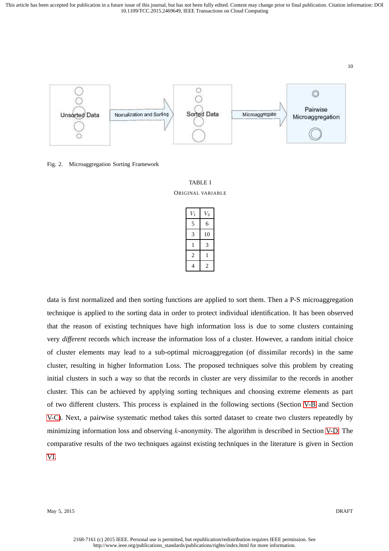

Fig. 2. Microaggregation Sorting Framework



| $\scriptstyle{V_1}$ | $\scriptstyle{V_2}$ |
|---------------------|---------------------|
| 5                   | 6                   |
| 3                   | 10                  |
| 1                   | 3                   |
| $\overline{c}$      | 1                   |
|                     | 2                   |

data is first normalized and then sorting functions are applied to sort them. Then a P-S microaggregation technique is applied to the sorting data in order to protect individual identification. It has been observed that the reason of existing techniques have high information loss is due to some clusters containing very *different* records which increase the information loss of a cluster. However, a random initial choice of cluster elements may lead to a sub-optimal microaggregation (of dissimilar records) in the same cluster, resulting in higher Information Loss. The proposed techniques solve this problem by creating initial clusters in such a way so that the records in cluster are very dissimilar to the records in another cluster. This can be achieved by applying sorting techniques and choosing extreme elements as part of two different clusters. This process is explained in the following sections (Section V-B and Section V-C). Next, a pairwise systematic method takes this sorted dataset to create two clusters repeatedly by minimizing information loss and observing k-anonymity. The algorithm is described in Section V-D. The comparative results of the two techniques against existing techniques in the literature is given in Section VI.

May 5, 2015 DRAFT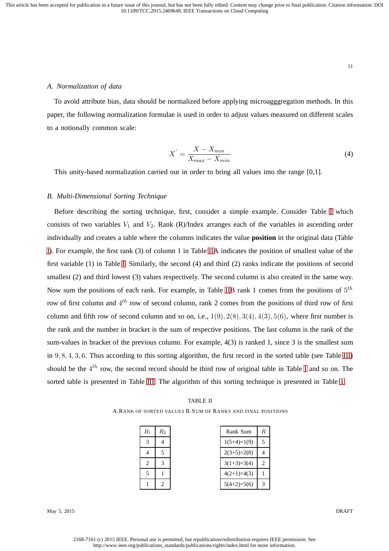#### *A. Normalization of data*

To avoid attribute bias, data should be normalized before applying microagggregation methods. In this paper, the following normalization formulae is used in order to adjust values measured on different scales to a notionally common scale:

$$
X' = \frac{X - X_{min}}{X_{max} - X_{min}}\tag{4}
$$

This unity-based normalization carried out in order to bring all values into the range [0,1].

#### *B. Multi-Dimensional Sorting Technique*

Before describing the sorting technique, first, consider a simple example. Consider Table I which consists of two variables  $V_1$  and  $V_2$ . Rank (R)/Index arranges each of the variables in ascending order individually and creates a table where the columns indicates the value **position** in the original data (Table I). For example, the first rank (3) of column 1 in Table IIA indicates the position of smallest value of the first variable (1) in Table I. Similarly, the second (4) and third (2) ranks indicate the positions of second smallest (2) and third lowest (3) values respectively. The second column is also created in the same way. Now sum the positions of each rank. For example, in Table IIB rank 1 comes from the positions of  $5^{th}$ row of first column and  $4^{th}$  row of second column, rank 2 comes from the positions of third row of first column and fifth row of second column and so on, i.e.,  $1(9)$ ,  $2(8)$ ,  $3(4)$ ,  $4(3)$ ,  $5(6)$ , where first number is the rank and the number in bracket is the sum of respective positions. The last column is the rank of the sum-values in bracket of the previous column. For example, 4(3) is ranked 1, since 3 is the smallest sum in 9, 8, 4, 3, 6. Thus according to this sorting algorithm, the first record in the sorted table (see Table III) should be the  $4^{th}$  row, the second record should be third row of original table in Table I and so on. The sorted table is presented in Table III. The algorithm of this sorting technique is presented in Table 1.

| TABLE II                                                     |  |
|--------------------------------------------------------------|--|
| A. RANK OF SORTED VALUES B. SUM OF RANKS AND FINAL POSITIONS |  |

| $\mathcal{R}_1$ | $\mathcal{R}_2$ |
|-----------------|-----------------|
| 3               |                 |
| 4               | 5               |
| $\overline{c}$  | 3               |
| 5               |                 |
|                 | $\mathbf{2}$    |

| Rank Sum      | R. |
|---------------|----|
| $1(5+4)=1(9)$ | 5  |
| $2(3+5)=2(8)$ |    |
| $3(1+3)=3(4)$ | 2  |
| $4(2+1)=4(3)$ |    |
| $5(4+2)=5(6)$ |    |

May 5, 2015 DRAFT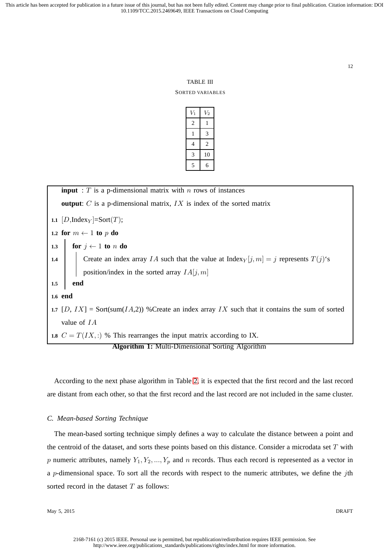#### TABLE III

#### SORTED VARIABLES

| $V_1$ | $V_2$          |
|-------|----------------|
| 2     | 1              |
| 1     | 3              |
| 4     | $\overline{c}$ |
| 3     | 10             |
| 5     | 6              |

**input** :  $T$  is a p-dimensional matrix with  $n$  rows of instances **output**: C is a p-dimensional matrix, IX is index of the sorted matrix **1.1**  $[D,\text{Index}_{Y}] = \text{Sort}(T)$ ; **1.2 for**  $m \leftarrow 1$  **to**  $p$  **do 1.3 for**  $j \leftarrow 1$  **to** n **do 1.4** Create an index array IA such that the value at Index<sub>Y</sub>  $[j, m] = j$  represents  $T(j)$ 's position/index in the sorted array  $IA[j, m]$ **1.5 end 1.6 end 1.7**  $[D, IX] = Sort(sum(IA,2))$  %Create an index array IX such that it contains the sum of sorted value of IA **1.8**  $C = T(IX, :)$  % This rearranges the input matrix according to IX. **Algorithm 1:** Multi-Dimensional Sorting Algorithm

According to the next phase algorithm in Table 2, it is expected that the first record and the last record are distant from each other, so that the first record and the last record are not included in the same cluster.

#### *C. Mean-based Sorting Technique*

The mean-based sorting technique simply defines a way to calculate the distance between a point and the centroid of the dataset, and sorts these points based on this distance. Consider a microdata set  $T$  with p numeric attributes, namely  $Y_1, Y_2, ..., Y_p$  and n records. Thus each record is represented as a vector in a p-dimensional space. To sort all the records with respect to the numeric attributes, we define the jth sorted record in the dataset  $T$  as follows:

May 5, 2015 DRAFT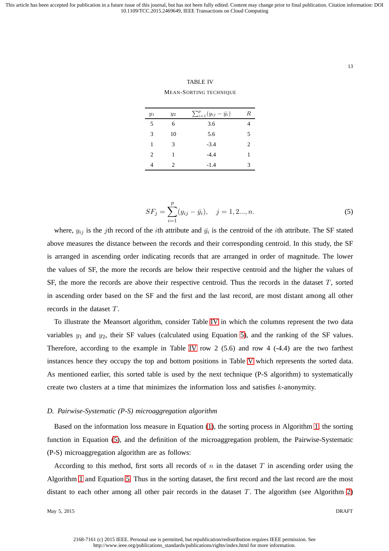13

TABLE IV MEAN-SORTING TECHNIQUE

| $y_1$ | $y_2$ | $\sum_{i=1}^p (y_{ij} - \bar{y}_i)$ | R                           |
|-------|-------|-------------------------------------|-----------------------------|
| 5     | 6     | 3.6                                 |                             |
| 3     | 10    | 5.6                                 | 5                           |
| 1     | 3     | $-3.4$                              | $\mathcal{D}_{\mathcal{L}}$ |
| 2     | 1     | $-4.4$                              | 1                           |
| 4     | 2     | $-1.4$                              | 3                           |
|       |       |                                     |                             |

$$
SF_j = \sum_{i=1}^{p} (y_{ij} - \bar{y}_i), \quad j = 1, 2..., n.
$$
 (5)

where,  $y_{ij}$  is the jth record of the *i*th attribute and  $\bar{y}_i$  is the centroid of the *i*th attribute. The SF stated above measures the distance between the records and their corresponding centroid. In this study, the SF is arranged in ascending order indicating records that are arranged in order of magnitude. The lower the values of SF, the more the records are below their respective centroid and the higher the values of SF, the more the records are above their respective centroid. Thus the records in the dataset  $T$ , sorted in ascending order based on the SF and the first and the last record, are most distant among all other records in the dataset T.

To illustrate the Meansort algorithm, consider Table IV in which the columns represent the two data variables  $y_1$  and  $y_2$ , their SF values (calculated using Equation 5), and the ranking of the SF values. Therefore, according to the example in Table IV row 2  $(5.6)$  and row 4  $(-4.4)$  are the two farthest instances hence they occupy the top and bottom positions in Table V which represents the sorted data. As mentioned earlier, this sorted table is used by the next technique (P-S algorithm) to systematically create two clusters at a time that minimizes the information loss and satisfies  $k$ -anonymity.

#### *D. Pairwise-Systematic (P-S) microaggregation algorithm*

Based on the information loss measure in Equation (1), the sorting process in Algorithm 1, the sorting function in Equation (5), and the definition of the microaggregation problem, the Pairwise-Systematic (P-S) microaggregation algorithm are as follows:

According to this method, first sorts all records of n in the dataset  $T$  in ascending order using the Algorithm 1 and Equation 5. Thus in the sorting dataset, the first record and the last record are the most distant to each other among all other pair records in the dataset  $T$ . The algorithm (see Algorithm 2)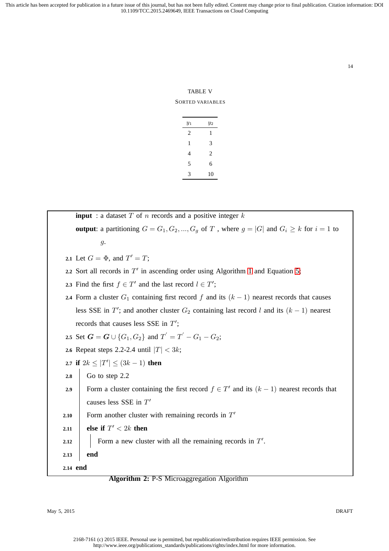14

TABLE V SORTED VARIABLES

| $y_1$ | $y_2$ |
|-------|-------|
| 2     | 1     |
| 1     | 3     |
| 4     | 2     |
| 5     | 6     |
| 3     | 10    |

| <b>input</b> : a dataset $T$ of $n$ records and a positive integer $k$                                     |  |  |  |  |  |
|------------------------------------------------------------------------------------------------------------|--|--|--|--|--|
| <b>output</b> : a partitioning $G = G_1, G_2, , G_g$ of T, where $g =  G $ and $G_i \geq k$ for $i = 1$ to |  |  |  |  |  |
| $g$ .                                                                                                      |  |  |  |  |  |
| 2.1 Let $G = \Phi$ , and $T' = T$ ;                                                                        |  |  |  |  |  |
| 2.2 Sort all records in $T'$ in ascending order using Algorithm 1 and Equation 5;                          |  |  |  |  |  |
| 2.3 Find the first $f \in T'$ and the last record $l \in T'$ ;                                             |  |  |  |  |  |
| 2.4 Form a cluster $G_1$ containing first record f and its $(k-1)$ nearest records that causes             |  |  |  |  |  |
| less SSE in $T'$ ; and another cluster $G_2$ containing last record l and its $(k-1)$ nearest              |  |  |  |  |  |
| records that causes less SSE in $T'$ ;                                                                     |  |  |  |  |  |
| 2.5 Set $G = G \cup \{G_1, G_2\}$ and $T' = T' - G_1 - G_2$ ;                                              |  |  |  |  |  |
| 2.6 Repeat steps 2.2-2.4 until $ T  < 3k$ ;                                                                |  |  |  |  |  |
| 2.7 if $2k \le  T'  \le (3k-1)$ then                                                                       |  |  |  |  |  |
| Go to step 2.2<br>$2.8\,$                                                                                  |  |  |  |  |  |
| Form a cluster containing the first record $f \in T'$ and its $(k-1)$ nearest records that<br>2.9          |  |  |  |  |  |
| causes less SSE in $T'$                                                                                    |  |  |  |  |  |
| Form another cluster with remaining records in $T'$<br>2.10                                                |  |  |  |  |  |
| else if $T' < 2k$ then<br>2.11                                                                             |  |  |  |  |  |
| Form a new cluster with all the remaining records in $T'$ .<br>2.12                                        |  |  |  |  |  |
| end<br>2.13                                                                                                |  |  |  |  |  |
| 2.14 end                                                                                                   |  |  |  |  |  |

## **Algorithm 2:** P-S Microaggregation Algorithm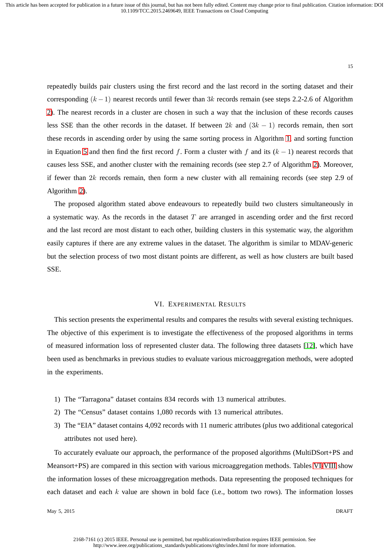repeatedly builds pair clusters using the first record and the last record in the sorting dataset and their corresponding  $(k-1)$  nearest records until fewer than 3k records remain (see steps 2.2-2.6 of Algorithm 2). The nearest records in a cluster are chosen in such a way that the inclusion of these records causes less SSE than the other records in the dataset. If between  $2k$  and  $(3k - 1)$  records remain, then sort these records in ascending order by using the same sorting process in Algorithm 1, and sorting function in Equation 5 and then find the first record f. Form a cluster with f and its  $(k - 1)$  nearest records that causes less SSE, and another cluster with the remaining records (see step 2.7 of Algorithm 2). Moreover, if fewer than  $2k$  records remain, then form a new cluster with all remaining records (see step 2.9 of Algorithm 2).

The proposed algorithm stated above endeavours to repeatedly build two clusters simultaneously in a systematic way. As the records in the dataset  $T$  are arranged in ascending order and the first record and the last record are most distant to each other, building clusters in this systematic way, the algorithm easily captures if there are any extreme values in the dataset. The algorithm is similar to MDAV-generic but the selection process of two most distant points are different, as well as how clusters are built based SSE.

#### VI. EXPERIMENTAL RESULTS

This section presents the experimental results and compares the results with several existing techniques. The objective of this experiment is to investigate the effectiveness of the proposed algorithms in terms of measured information loss of represented cluster data. The following three datasets [12], which have been used as benchmarks in previous studies to evaluate various microaggregation methods, were adopted in the experiments.

- 1) The "Tarragona" dataset contains 834 records with 13 numerical attributes.
- 2) The "Census" dataset contains 1,080 records with 13 numerical attributes.
- 3) The "EIA" dataset contains 4,092 records with 11 numeric attributes (plus two additional categorical attributes not used here).

To accurately evaluate our approach, the performance of the proposed algorithms (MultiDSort+PS and Meansort+PS) are compared in this section with various microaggregation methods. Tables VI-VIII show the information losses of these microaggregation methods. Data representing the proposed techniques for each dataset and each  $k$  value are shown in bold face (i.e., bottom two rows). The information losses

May 5, 2015 DRAFT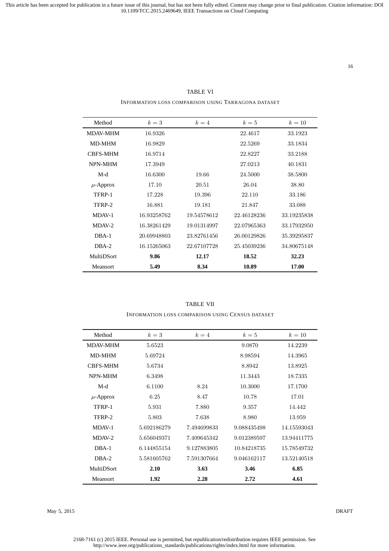#### 16

TABLE VI INFORMATION LOSS COMPARISON USING TARRAGONA DATASET

| Method            | $k=3$       | $k=4$       | $k=5$       | $k=10$      |
|-------------------|-------------|-------------|-------------|-------------|
| <b>MDAV-MHM</b>   | 16.9326     |             | 22.4617     | 33.1923     |
| MD-MHM            | 16.9829     |             | 22.5269     | 33.1834     |
| <b>CBFS-MHM</b>   | 16.9714     |             | 22.8227     | 33.2188     |
| NPN-MHM           | 17.3949     |             | 27.0213     | 40.1831     |
| M-d               | 16.6300     | 19.66       | 24.5000     | 38.5800     |
| $\mu$ -Approx     | 17.10       | 20.51       | 26.04       | 38.80       |
| TFRP-1            | 17.228      | 19.396      | 22.110      | 33.186      |
| TFRP-2            | 16.881      | 19.181      | 21.847      | 33.088      |
| MDAV-1            | 16.93258762 | 19.54578612 | 22.46128236 | 33.19235838 |
| $MDAV-2$          | 16.38261429 | 19.01314997 | 22.07965363 | 33.17932950 |
| $DBA-1$           | 20.69948803 | 23.82761456 | 26.00129826 | 35.39295837 |
| $DBA-2$           | 16.15265063 | 22.67107728 | 25.45039236 | 34.80675148 |
| <b>MultiDSort</b> | 9.86        | 12.17       | 18.52       | 32.23       |
| <b>Meansort</b>   | 5.49        | 8.34        | 10.89       | 17.00       |

# TABLE VII INFORMATION LOSS COMPARISON USING CENSUS DATASET

| Method          | $k=3$       | $k=4$       | $k=5$       | $k=10$      |
|-----------------|-------------|-------------|-------------|-------------|
| <b>MDAV-MHM</b> | 5.6523      |             | 9.0870      | 14.2239     |
| MD-MHM          | 5.69724     |             | 8.98594     | 14.3965     |
| <b>CBFS-MHM</b> | 5.6734      |             | 8.8942      | 13.8925     |
| NPN-MHM         | 6.3498      |             | 11.3443     | 18.7335     |
| $M-d$           | 6.1100      | 8.24        | 10.3000     | 17.1700     |
| $\mu$ -Approx   | 6.25        | 8.47        | 10.78       | 17.01       |
| TFRP-1          | 5.931       | 7.880       | 9.357       | 14.442      |
| TFRP-2          | 5.803       | 7.638       | 8.980       | 13.959      |
| MDAV-1          | 5.692186279 | 7.494699833 | 9.088435498 | 14.15593043 |
| MDAV-2          | 5.656049371 | 7.409645342 | 9.012389597 | 13.94411775 |
| $DBA-1$         | 6.144855154 | 9.127883805 | 10.84218735 | 15.78549732 |
| $DBA-2$         | 5.581605762 | 7.591307664 | 9.046162117 | 13.52140518 |
| MultiDSort      | 2.10        | 3.63        | 3.46        | 6.85        |
| <b>Meansort</b> | 1.92        | 2.28        | 2.72        | 4.61        |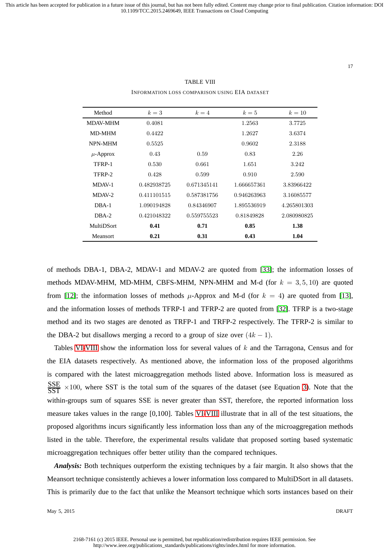#### TABLE VIII

INFORMATION LOSS COMPARISON USING EIA DATASET

| Method            | $k=3$       | $k=4$       | $k=5$       | $k=10$      |
|-------------------|-------------|-------------|-------------|-------------|
| <b>MDAV-MHM</b>   | 0.4081      |             | 1.2563      | 3.7725      |
| <b>MD-MHM</b>     | 0.4422      |             | 1.2627      | 3.6374      |
| <b>NPN-MHM</b>    | 0.5525      |             | 0.9602      | 2.3188      |
| $\mu$ -Approx     | 0.43        | 0.59        | 0.83        | 2.26        |
| TFRP-1            | 0.530       | 0.661       | 1.651       | 3.242       |
| TFRP-2            | 0.428       | 0.599       | 0.910       | 2.590       |
| MDAV-1            | 0.482938725 | 0.671345141 | 1.666657361 | 3.83966422  |
| $MDAV-2$          | 0.411101515 | 0.587381756 | 0.946263963 | 3.16085577  |
| $DBA-1$           | 1.090194828 | 0.84346907  | 1.895536919 | 4.265801303 |
| DBA-2             | 0.421048322 | 0.559755523 | 0.81849828  | 2.080980825 |
| <b>MultiDSort</b> | 0.41        | 0.71        | 0.85        | 1.38        |
| <b>Meansort</b>   | 0.21        | 0.31        | 0.43        | 1.04        |

of methods DBA-1, DBA-2, MDAV-1 and MDAV-2 are quoted from [33]; the information losses of methods MDAV-MHM, MD-MHM, CBFS-MHM, NPN-MHM and M-d (for  $k = 3, 5, 10$ ) are quoted from [12]; the information losses of methods  $\mu$ -Approx and M-d (for  $k = 4$ ) are quoted from [13], and the information losses of methods TFRP-1 and TFRP-2 are quoted from [32]. TFRP is a two-stage method and its two stages are denoted as TRFP-1 and TRFP-2 respectively. The TFRP-2 is similar to the DBA-2 but disallows merging a record to a group of size over  $(4k - 1)$ .

Tables VI-VIII show the information loss for several values of  $k$  and the Tarragona, Census and for the EIA datasets respectively. As mentioned above, the information loss of the proposed algorithms is compared with the latest microaggregation methods listed above. Information loss is measured as  $rac{\text{SSE}}{\text{SST}} \times 100$ , where SST is the total sum of the squares of the dataset (see Equation 3). Note that the within-groups sum of squares SSE is never greater than SST, therefore, the reported information loss measure takes values in the range [0,100]. Tables VI-VIII illustrate that in all of the test situations, the proposed algorithms incurs significantly less information loss than any of the microaggregation methods listed in the table. Therefore, the experimental results validate that proposed sorting based systematic microaggregation techniques offer better utility than the compared techniques.

*Analysis:* Both techniques outperform the existing techniques by a fair margin. It also shows that the Meansort technique consistently achieves a lower information loss compared to MultiDSort in all datasets. This is primarily due to the fact that unlike the Meansort technique which sorts instances based on their

May 5, 2015 DRAFT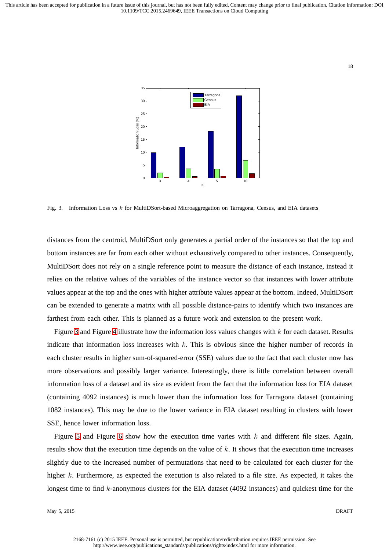#### 18



Fig. 3. Information Loss vs k for MultiDSort-based Microaggregation on Tarragona, Census, and EIA datasets

distances from the centroid, MultiDSort only generates a partial order of the instances so that the top and bottom instances are far from each other without exhaustively compared to other instances. Consequently, MultiDSort does not rely on a single reference point to measure the distance of each instance, instead it relies on the relative values of the variables of the instance vector so that instances with lower attribute values appear at the top and the ones with higher attribute values appear at the bottom. Indeed, MultiDSort can be extended to generate a matrix with all possible distance-pairs to identify which two instances are farthest from each other. This is planned as a future work and extension to the present work.

Figure 3 and Figure 4 illustrate how the information loss values changes with k for each dataset. Results indicate that information loss increases with k. This is obvious since the higher number of records in each cluster results in higher sum-of-squared-error (SSE) values due to the fact that each cluster now has more observations and possibly larger variance. Interestingly, there is little correlation between overall information loss of a dataset and its size as evident from the fact that the information loss for EIA dataset (containing 4092 instances) is much lower than the information loss for Tarragona dataset (containing 1082 instances). This may be due to the lower variance in EIA dataset resulting in clusters with lower SSE, hence lower information loss.

Figure 5 and Figure 6 show how the execution time varies with  $k$  and different file sizes. Again, results show that the execution time depends on the value of  $k$ . It shows that the execution time increases slightly due to the increased number of permutations that need to be calculated for each cluster for the higher k. Furthermore, as expected the execution is also related to a file size. As expected, it takes the longest time to find k-anonymous clusters for the EIA dataset (4092 instances) and quickest time for the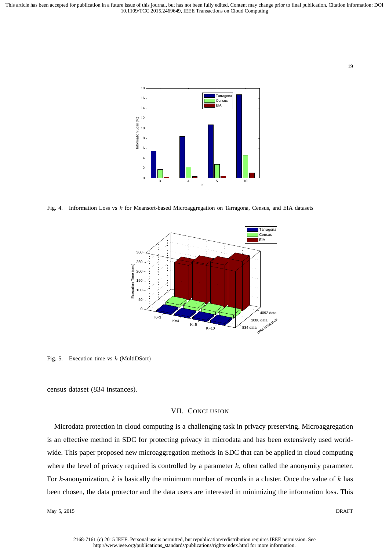19



Fig. 4. Information Loss vs k for Meansort-based Microaggregation on Tarragona, Census, and EIA datasets



Fig. 5. Execution time vs  $k$  (MultiDSort)

census dataset (834 instances).

## VII. CONCLUSION

Microdata protection in cloud computing is a challenging task in privacy preserving. Microaggregation is an effective method in SDC for protecting privacy in microdata and has been extensively used worldwide. This paper proposed new microaggregation methods in SDC that can be applied in cloud computing where the level of privacy required is controlled by a parameter  $k$ , often called the anonymity parameter. For k-anonymization,  $k$  is basically the minimum number of records in a cluster. Once the value of  $k$  has been chosen, the data protector and the data users are interested in minimizing the information loss. This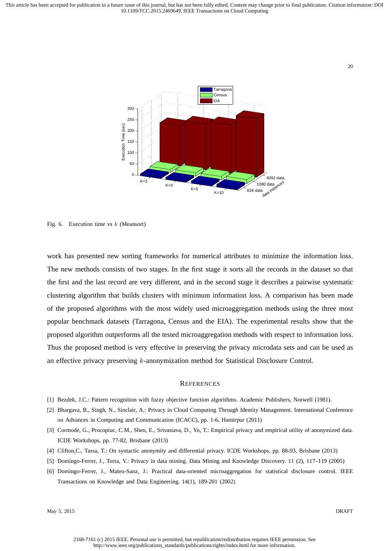

Fig. 6. Execution time vs  $k$  (Meansort)

work has presented new sorting frameworks for numerical attributes to minimize the information loss. The new methods consists of two stages. In the first stage it sorts all the records in the dataset so that the first and the last record are very different, and in the second stage it describes a pairwise systematic clustering algorithm that builds clusters with minimum information loss. A comparison has been made of the proposed algorithms with the most widely used microaggregation methods using the three most popular benchmark datasets (Tarragona, Census and the EIA). The experimental results show that the proposed algorithm outperforms all the tested microaggregation methods with respect to information loss. Thus the proposed method is very effective in preserving the privacy microdata sets and can be used as an effective privacy preserving k-anonymization method for Statistical Disclosure Control.

#### **REFERENCES**

- [1] Bezdek, J.C.: Pattern recognition with fuzzy objective function algorithms. Academic Publishers, Norwell (1981).
- [2] Bhargava, B., Singh, N., Sinclair, A.: Privacy in Cloud Computing Through Identity Management. International Conference on Advances in Computing and Communication (ICACC), pp. 1-6, Hamirpur (2011)
- [3] Cormode, G., Procopiuc, C.M., Shen, E., Srivastava, D., Yu, T.: Empirical privacy and empirical utility of anonymized data. ICDE Workshops, pp. 77-82, Brisbane (2013)
- [4] Clifton,C., Tassa, T.: On syntactic anonymity and differential privacy. ICDE Workshops, pp. 88-93, Brisbane (2013)
- [5] Domingo-Ferrer, J., Torra, V.: Privacy in data mining. Data Mining and Knowledge Discovery. 11 (2), 117–119 (2005)
- [6] Domingo-Ferrer, J., Mateo-Sanz, J.: Practical data-oriented microaggregation for statistical disclosure control. IEEE Transactions on Knowledge and Data Engineering. 14(1), 189-201 (2002)

May 5, 2015 DRAFT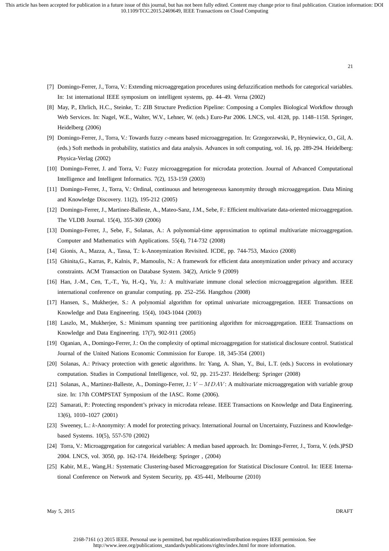- [7] Domingo-Ferrer, J., Torra, V.: Extending microaggregation procedures using defuzzification methods for categorical variables. In: 1st international IEEE symposium on intelligent systems, pp. 44–49. Verna (2002)
- [8] May, P., Ehrlich, H.C., Steinke, T.: ZIB Structure Prediction Pipeline: Composing a Complex Biological Workflow through Web Services. In: Nagel, W.E., Walter, W.V., Lehner, W. (eds.) Euro-Par 2006. LNCS, vol. 4128, pp. 1148–1158. Springer, Heidelberg (2006)
- [9] Domingo-Ferrer, J., Torra, V.: Towards fuzzy c-means based microaggregation. In: Grzegorzewski, P., Hryniewicz, O., Gil, A. (eds.) Soft methods in probability, statistics and data analysis. Advances in soft computing, vol. 16, pp. 289-294. Heidelberg: Physica-Verlag (2002)
- [10] Domingo-Ferrer, J. and Torra, V.: Fuzzy microaggregation for microdata protection. Journal of Advanced Computational Intelligence and Intelligent Informatics. 7(2), 153-159 (2003)
- [11] Domingo-Ferrer, J., Torra, V.: Ordinal, continuous and heterogeneous kanonymity through microaggregation. Data Mining and Knowledge Discovery. 11(2), 195-212 (2005)
- [12] Domingo-Ferrer, J., Martinez-Balleste, A., Mateo-Sanz, J.M., Sebe, F.: Efficient multivariate data-oriented microaggregation. The VLDB Journal. 15(4), 355-369 (2006)
- [13] Domingo-Ferrer, J., Sebe, F., Solanas, A.: A polynomial-time approximation to optimal multivariate microaggregation. Computer and Mathematics with Applications. 55(4), 714-732 (2008)
- [14] Gionis, A., Mazza, A., Tassa, T.: k-Anonymization Revisited. ICDE, pp. 744-753, Maxico (2008)
- [15] Ghinita,G., Karras, P., Kalnis, P., Mamoulis, N.: A framework for efficient data anonymization under privacy and accuracy constraints. ACM Transaction on Database System. 34(2), Article 9 (2009)
- [16] Han, J.-M., Cen, T.,-T., Yu, H.-Q., Yu, J.: A multivariate immune clonal selection microaggregation algorithm. IEEE international conference on granular computing. pp. 252–256. Hangzhou (2008)
- [17] Hansen, S., Mukherjee, S.: A polynomial algorithm for optimal univariate microaggregation. IEEE Transactions on Knowledge and Data Engineering. 15(4), 1043-1044 (2003)
- [18] Laszlo, M., Mukherjee, S.: Minimum spanning tree partitioning algorithm for microaggregation. IEEE Transactions on Knowledge and Data Engineering. 17(7), 902-911 (2005)
- [19] Oganian, A., Domingo-Ferrer, J.: On the complexity of optimal microaggregation for statistical disclosure control. Statistical Journal of the United Nations Economic Commission for Europe. 18, 345-354 (2001)
- [20] Solanas, A.: Privacy protection with genetic algorithms. In: Yang, A. Shan, Y., Bui, L.T. (eds.) Success in evolutionary computation. Studies in Computional Intelligence, vol. 92, pp. 215-237. Heidelberg: Springer (2008)
- [21] Solanas, A., Martinez-Balleste, A., Domingo-Ferrer, J.:  $V MDAV$ : A multivariate microaggregation with variable group size. In: 17th COMPSTAT Symposium of the IASC. Rome (2006).
- [22] Samarati, P.: Protecting respondent's privacy in microdata release. IEEE Transactions on Knowledge and Data Engineering. 13(6), 1010–1027 (2001)
- [23] Sweeney, L.: k-Anonymity: A model for protecting privacy. International Journal on Uncertainty, Fuzziness and Knowledgebased Systems. 10(5), 557-570 (2002)
- [24] Torra, V.: Microaggregation for categorical variables: A median based approach. In: Domingo-Ferrer, J., Torra, V. (eds.)PSD 2004. LNCS, vol. 3050, pp. 162-174. Heidelberg: Springer , (2004)
- [25] Kabir, M.E., Wang,H.: Systematic Clustering-based Microaggregation for Statistical Disclosure Control. In: IEEE International Conference on Network and System Security, pp. 435-441, Melbourne (2010)

May 5, 2015 DRAFT